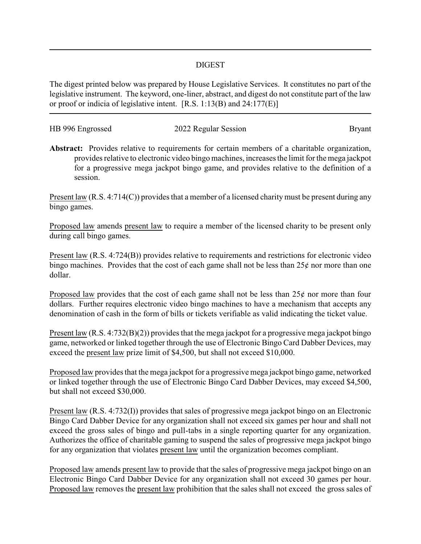## DIGEST

The digest printed below was prepared by House Legislative Services. It constitutes no part of the legislative instrument. The keyword, one-liner, abstract, and digest do not constitute part of the law or proof or indicia of legislative intent. [R.S. 1:13(B) and 24:177(E)]

| HB 996 Engrossed | 2022 Regular Session | Bryant |
|------------------|----------------------|--------|
|                  |                      |        |

**Abstract:** Provides relative to requirements for certain members of a charitable organization, provides relative to electronic video bingo machines, increases the limit for the mega jackpot for a progressive mega jackpot bingo game, and provides relative to the definition of a session.

Present law (R.S. 4:714(C)) provides that a member of a licensed charity must be present during any bingo games.

Proposed law amends present law to require a member of the licensed charity to be present only during call bingo games.

Present law (R.S. 4:724(B)) provides relative to requirements and restrictions for electronic video bingo machines. Provides that the cost of each game shall not be less than  $25¢$  nor more than one dollar.

Proposed law provides that the cost of each game shall not be less than  $25¢$  nor more than four dollars. Further requires electronic video bingo machines to have a mechanism that accepts any denomination of cash in the form of bills or tickets verifiable as valid indicating the ticket value.

Present law (R.S. 4:732(B)(2)) provides that the mega jackpot for a progressive mega jackpot bingo game, networked or linked together through the use of Electronic Bingo Card Dabber Devices, may exceed the present law prize limit of \$4,500, but shall not exceed \$10,000.

Proposed law provides that the mega jackpot for a progressive mega jackpot bingo game, networked or linked together through the use of Electronic Bingo Card Dabber Devices, may exceed \$4,500, but shall not exceed \$30,000.

Present law (R.S. 4:732(I)) provides that sales of progressive mega jackpot bingo on an Electronic Bingo Card Dabber Device for any organization shall not exceed six games per hour and shall not exceed the gross sales of bingo and pull-tabs in a single reporting quarter for any organization. Authorizes the office of charitable gaming to suspend the sales of progressive mega jackpot bingo for any organization that violates present law until the organization becomes compliant.

Proposed law amends present law to provide that the sales of progressive mega jackpot bingo on an Electronic Bingo Card Dabber Device for any organization shall not exceed 30 games per hour. Proposed law removes the present law prohibition that the sales shall not exceed the gross sales of